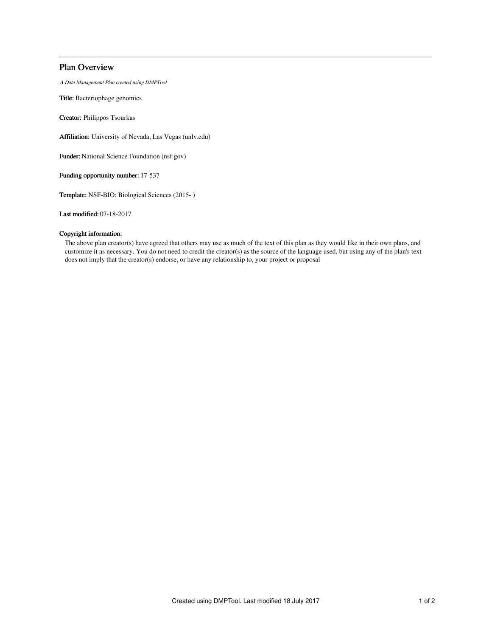# Plan Overview

A Data Management Plan created using DMPTool

Title: Bacteriophage genomics

Creator: Philippos Tsourkas

Affiliation: University of Nevada, Las Vegas (unlv.edu)

Funder: National Science Foundation (nsf.gov)

Funding opportunity number: 17-537

Template: NSF-BIO: Biological Sciences (2015- )

Last modified: 07-18-2017

# Copyright information:

The above plan creator(s) have agreed that others may use as much of the text of this plan as they would like in their own plans, and customize it as necessary. You do not need to credit the creator(s) as the source of the language used, but using any of the plan's text does not imply that the creator(s) endorse, or have any relationship to, your project or proposal